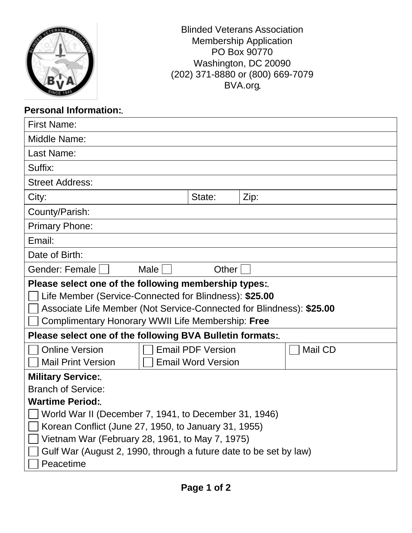| <b>Blinded Veterans Association</b> |
|-------------------------------------|
| <b>Membership Application</b>       |
| PO Box 90770                        |
| Washington, DC 20090                |
| (202) 371-8880 or (800) 669-7079    |
| BVA.org.                            |
|                                     |

## **Personal Information:**

| <b>First Name:</b>                                                                                                                                                                                                                                                           |                                                       |      |         |  |  |
|------------------------------------------------------------------------------------------------------------------------------------------------------------------------------------------------------------------------------------------------------------------------------|-------------------------------------------------------|------|---------|--|--|
| Middle Name:                                                                                                                                                                                                                                                                 |                                                       |      |         |  |  |
| Last Name:                                                                                                                                                                                                                                                                   |                                                       |      |         |  |  |
| Suffix:                                                                                                                                                                                                                                                                      |                                                       |      |         |  |  |
| <b>Street Address:</b>                                                                                                                                                                                                                                                       |                                                       |      |         |  |  |
| City:                                                                                                                                                                                                                                                                        | State:                                                | Zip: |         |  |  |
| County/Parish:                                                                                                                                                                                                                                                               |                                                       |      |         |  |  |
| <b>Primary Phone:</b>                                                                                                                                                                                                                                                        |                                                       |      |         |  |  |
| Email:                                                                                                                                                                                                                                                                       |                                                       |      |         |  |  |
| Date of Birth:                                                                                                                                                                                                                                                               |                                                       |      |         |  |  |
| Gender: Female<br>Male                                                                                                                                                                                                                                                       | Other                                                 |      |         |  |  |
| Please select one of the following membership types:<br>Life Member (Service-Connected for Blindness): \$25.00<br>Associate Life Member (Not Service-Connected for Blindness): \$25.00<br>Complimentary Honorary WWII Life Membership: Free                                  |                                                       |      |         |  |  |
| Please select one of the following BVA Bulletin formats:                                                                                                                                                                                                                     |                                                       |      |         |  |  |
| <b>Online Version</b><br><b>Mail Print Version</b>                                                                                                                                                                                                                           | <b>Email PDF Version</b><br><b>Email Word Version</b> |      | Mail CD |  |  |
| <b>Military Service:</b>                                                                                                                                                                                                                                                     |                                                       |      |         |  |  |
| <b>Branch of Service:</b>                                                                                                                                                                                                                                                    |                                                       |      |         |  |  |
| <b>Wartime Period:</b><br>World War II (December 7, 1941, to December 31, 1946)<br>Korean Conflict (June 27, 1950, to January 31, 1955)<br>Vietnam War (February 28, 1961, to May 7, 1975)<br>Gulf War (August 2, 1990, through a future date to be set by law)<br>Peacetime |                                                       |      |         |  |  |